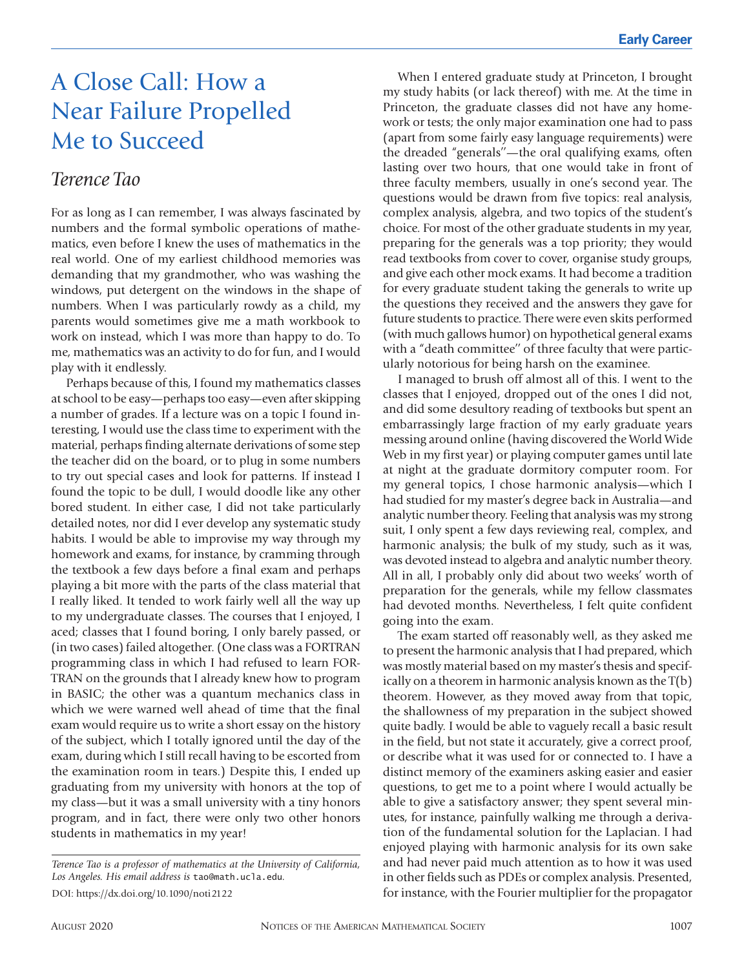# A Close Call: How a Near Failure Propelled Me to Succeed

## *Terence Tao*

For as long as I can remember, I was always fascinated by numbers and the formal symbolic operations of mathematics, even before I knew the uses of mathematics in the real world. One of my earliest childhood memories was demanding that my grandmother, who was washing the windows, put detergent on the windows in the shape of numbers. When I was particularly rowdy as a child, my parents would sometimes give me a math workbook to work on instead, which I was more than happy to do. To me, mathematics was an activity to do for fun, and I would play with it endlessly.

Perhaps because of this, I found my mathematics classes at school to be easy—perhaps too easy—even after skipping a number of grades. If a lecture was on a topic I found interesting, I would use the class time to experiment with the material, perhaps finding alternate derivations of some step the teacher did on the board, or to plug in some numbers to try out special cases and look for patterns. If instead I found the topic to be dull, I would doodle like any other bored student. In either case, I did not take particularly detailed notes, nor did I ever develop any systematic study habits. I would be able to improvise my way through my homework and exams, for instance, by cramming through the textbook a few days before a final exam and perhaps playing a bit more with the parts of the class material that I really liked. It tended to work fairly well all the way up to my undergraduate classes. The courses that I enjoyed, I aced; classes that I found boring, I only barely passed, or (in two cases) failed altogether. (One class was a FORTRAN programming class in which I had refused to learn FOR-TRAN on the grounds that I already knew how to program in BASIC; the other was a quantum mechanics class in which we were warned well ahead of time that the final exam would require us to write a short essay on the history of the subject, which I totally ignored until the day of the exam, during which I still recall having to be escorted from the examination room in tears.) Despite this, I ended up graduating from my university with honors at the top of my class—but it was a small university with a tiny honors program, and in fact, there were only two other honors students in mathematics in my year!

When I entered graduate study at Princeton, I brought my study habits (or lack thereof) with me. At the time in Princeton, the graduate classes did not have any homework or tests; the only major examination one had to pass (apart from some fairly easy language requirements) were the dreaded "generals''—the oral qualifying exams, often lasting over two hours, that one would take in front of three faculty members, usually in one's second year. The questions would be drawn from five topics: real analysis, complex analysis, algebra, and two topics of the student's choice. For most of the other graduate students in my year, preparing for the generals was a top priority; they would read textbooks from cover to cover, organise study groups, and give each other mock exams. It had become a tradition for every graduate student taking the generals to write up the questions they received and the answers they gave for future students to practice. There were even skits performed (with much gallows humor) on hypothetical general exams with a "death committee'' of three faculty that were particularly notorious for being harsh on the examinee.

I managed to brush off almost all of this. I went to the classes that I enjoyed, dropped out of the ones I did not, and did some desultory reading of textbooks but spent an embarrassingly large fraction of my early graduate years messing around online (having discovered the World Wide Web in my first year) or playing computer games until late at night at the graduate dormitory computer room. For my general topics, I chose harmonic analysis—which I had studied for my master's degree back in Australia—and analytic number theory. Feeling that analysis was my strong suit, I only spent a few days reviewing real, complex, and harmonic analysis; the bulk of my study, such as it was, was devoted instead to algebra and analytic number theory. All in all, I probably only did about two weeks' worth of preparation for the generals, while my fellow classmates had devoted months. Nevertheless, I felt quite confident going into the exam.

The exam started off reasonably well, as they asked me to present the harmonic analysis that I had prepared, which was mostly material based on my master's thesis and specifically on a theorem in harmonic analysis known as the T(b) theorem. However, as they moved away from that topic, the shallowness of my preparation in the subject showed quite badly. I would be able to vaguely recall a basic result in the field, but not state it accurately, give a correct proof, or describe what it was used for or connected to. I have a distinct memory of the examiners asking easier and easier questions, to get me to a point where I would actually be able to give a satisfactory answer; they spent several minutes, for instance, painfully walking me through a derivation of the fundamental solution for the Laplacian. I had enjoyed playing with harmonic analysis for its own sake and had never paid much attention as to how it was used in other fields such as PDEs or complex analysis. Presented, for instance, with the Fourier multiplier for the propagator

*Terence Tao is a professor of mathematics at the University of California, Los Angeles. His email address is* tao@math.ucla.edu*.* DOI: https://dx.doi.org/10.1090/noti2122